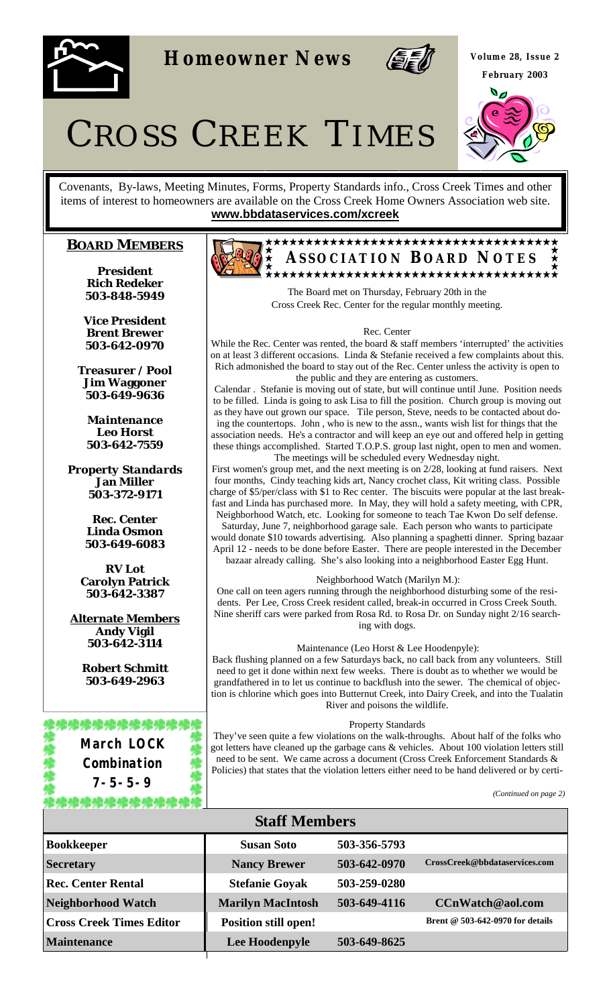

**Homeowner News** 



**Volume 28, Issue 2 February 2003** 



# CROSS CREEK TIMES

Covenants, By-laws, Meeting Minutes, Forms, Property Standards info., Cross Creek Times and other items of interest to homeowners are available on the Cross Creek Home Owners Association web site. **www.bbdataservices.com/xcreek**

# **BOARD MEMBERS**

*President* **Rich Redeker 503-848-5949** 

*Vice President* **Brent Brewer 503-642-0970** 

*Treasurer / Pool* **Jim Waggoner 503-649-9636** 

*Maintenance*  **Leo Horst 503-642-7559** 

*Property Standards* **Jan Miller 503-372-9171** 

> *Rec. Center* **Linda Osmon 503-649-6083**

*RV Lot* **Carolyn Patrick 503-642-3387** 

**Alternate Members Andy Vigil 503-642-3114** 

> **Robert Schmitt 503-649-2963**

### \*\*\*\*\*\*\*\*\*\*\*\*\*

**March LOCK Combination 7-5-5-9** 

炥炥炥炥炥炥炥炥炥炥



The Board met on Thursday, February 20th in the Cross Creek Rec. Center for the regular monthly meeting.

#### Rec. Center

While the Rec. Center was rented, the board  $\&$  staff members 'interrupted' the activities on at least 3 different occasions. Linda & Stefanie received a few complaints about this. Rich admonished the board to stay out of the Rec. Center unless the activity is open to the public and they are entering as customers.

Calendar . Stefanie is moving out of state, but will continue until June. Position needs to be filled. Linda is going to ask Lisa to fill the position. Church group is moving out as they have out grown our space. Tile person, Steve, needs to be contacted about doing the countertops. John , who is new to the assn., wants wish list for things that the association needs. He's a contractor and will keep an eye out and offered help in getting these things accomplished. Started T.O.P.S. group last night, open to men and women. The meetings will be scheduled every Wednesday night.

First women's group met, and the next meeting is on 2/28, looking at fund raisers. Next four months, Cindy teaching kids art, Nancy crochet class, Kit writing class. Possible charge of \$5/per/class with \$1 to Rec center. The biscuits were popular at the last breakfast and Linda has purchased more. In May, they will hold a safety meeting, with CPR, Neighborhood Watch, etc. Looking for someone to teach Tae Kwon Do self defense.

Saturday, June 7, neighborhood garage sale. Each person who wants to participate would donate \$10 towards advertising. Also planning a spaghetti dinner. Spring bazaar April 12 - needs to be done before Easter. There are people interested in the December bazaar already calling. She's also looking into a neighborhood Easter Egg Hunt.

#### Neighborhood Watch (Marilyn M.):

One call on teen agers running through the neighborhood disturbing some of the residents. Per Lee, Cross Creek resident called, break-in occurred in Cross Creek South. Nine sheriff cars were parked from Rosa Rd. to Rosa Dr. on Sunday night 2/16 searching with dogs.

#### Maintenance (Leo Horst & Lee Hoodenpyle):

Back flushing planned on a few Saturdays back, no call back from any volunteers. Still need to get it done within next few weeks. There is doubt as to whether we would be grandfathered in to let us continue to backflush into the sewer. The chemical of objection is chlorine which goes into Butternut Creek, into Dairy Creek, and into the Tualatin River and poisons the wildlife.

#### Property Standards

They've seen quite a few violations on the walk-throughs. About half of the folks who got letters have cleaned up the garbage cans & vehicles. About 100 violation letters still need to be sent. We came across a document (Cross Creek Enforcement Standards & Policies) that states that the violation letters either need to be hand delivered or by certi-

*(Continued on page 2)* 

| <b>Staff Members</b>            |                             |              |                                    |
|---------------------------------|-----------------------------|--------------|------------------------------------|
| <b>Bookkeeper</b>               | <b>Susan Soto</b>           | 503-356-5793 |                                    |
| <b>Secretary</b>                | <b>Nancy Brewer</b>         | 503-642-0970 | CrossCreek@bbdataservices.com      |
| <b>Rec. Center Rental</b>       | <b>Stefanie Goyak</b>       | 503-259-0280 |                                    |
| <b>Neighborhood Watch</b>       | <b>Marilyn MacIntosh</b>    | 503-649-4116 | CCnWatch@aol.com                   |
| <b>Cross Creek Times Editor</b> | <b>Position still open!</b> |              | Brent $@$ 503-642-0970 for details |
| <b>Maintenance</b>              | Lee Hoodenpyle              | 503-649-8625 |                                    |
|                                 |                             |              |                                    |